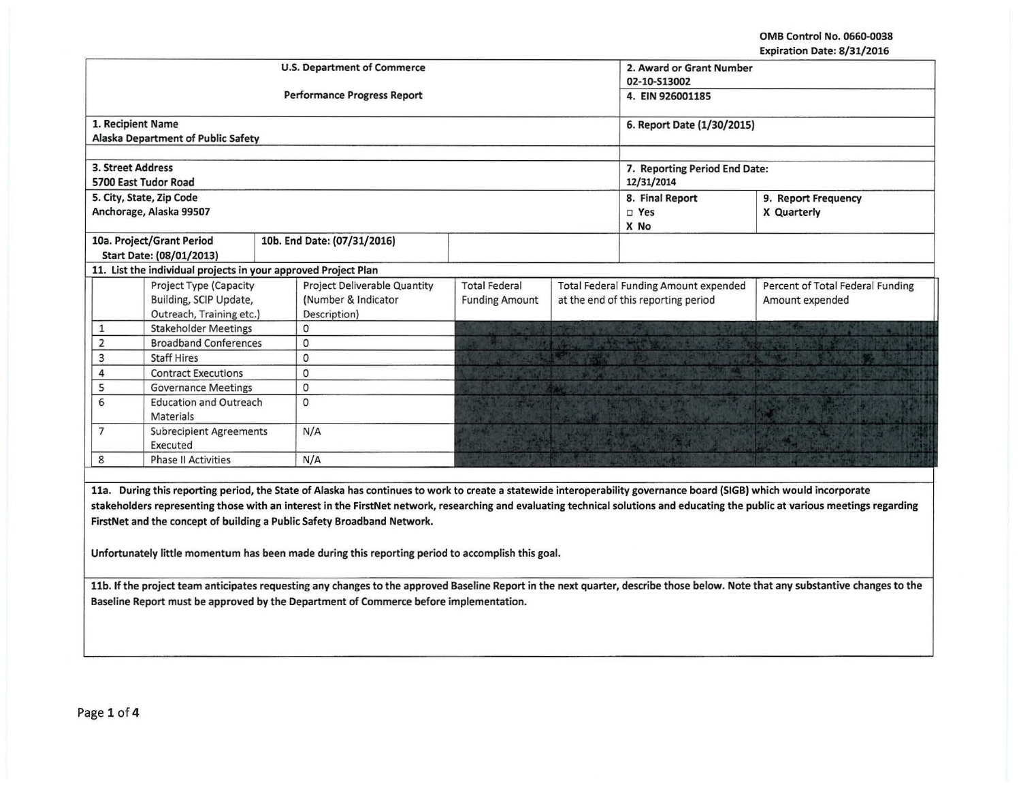OMB Control No. 0660-0038 Expiration Date: 8/31/2016

|                   |                                                                |  |                                                                                                                                                                     |                                          |                                              |                                     | LADII GUON DALE. 07 JIJ LUIU     |
|-------------------|----------------------------------------------------------------|--|---------------------------------------------------------------------------------------------------------------------------------------------------------------------|------------------------------------------|----------------------------------------------|-------------------------------------|----------------------------------|
|                   |                                                                |  | <b>U.S. Department of Commerce</b>                                                                                                                                  | 2. Award or Grant Number<br>02-10-S13002 |                                              |                                     |                                  |
|                   |                                                                |  |                                                                                                                                                                     |                                          |                                              |                                     |                                  |
|                   |                                                                |  | <b>Performance Progress Report</b>                                                                                                                                  | 4. EIN 926001185                         |                                              |                                     |                                  |
|                   | 1. Recipient Name                                              |  |                                                                                                                                                                     |                                          |                                              | 6. Report Date (1/30/2015)          |                                  |
|                   | Alaska Department of Public Safety                             |  |                                                                                                                                                                     |                                          |                                              |                                     |                                  |
|                   |                                                                |  |                                                                                                                                                                     |                                          |                                              |                                     |                                  |
| 3. Street Address |                                                                |  |                                                                                                                                                                     |                                          |                                              | 7. Reporting Period End Date:       |                                  |
|                   | 5700 East Tudor Road                                           |  |                                                                                                                                                                     | 12/31/2014                               |                                              |                                     |                                  |
|                   | 5. City, State, Zip Code                                       |  |                                                                                                                                                                     |                                          |                                              | 8. Final Report                     | 9. Report Frequency              |
|                   | Anchorage, Alaska 99507                                        |  |                                                                                                                                                                     |                                          |                                              | $\square$ Yes                       | X Quarterly                      |
|                   |                                                                |  |                                                                                                                                                                     |                                          |                                              | X No                                |                                  |
|                   | 10a. Project/Grant Period                                      |  | 10b. End Date: (07/31/2016)                                                                                                                                         |                                          |                                              |                                     |                                  |
|                   | Start Date: (08/01/2013)                                       |  |                                                                                                                                                                     |                                          |                                              |                                     |                                  |
|                   | 11. List the individual projects in your approved Project Plan |  |                                                                                                                                                                     |                                          |                                              |                                     |                                  |
|                   | Project Type (Capacity                                         |  | Project Deliverable Quantity                                                                                                                                        | <b>Total Federal</b>                     | <b>Total Federal Funding Amount expended</b> |                                     | Percent of Total Federal Funding |
|                   | Building, SCIP Update,                                         |  | (Number & Indicator                                                                                                                                                 | <b>Funding Amount</b>                    |                                              | at the end of this reporting period | Amount expended                  |
|                   | Outreach, Training etc.)                                       |  | Description)                                                                                                                                                        |                                          |                                              |                                     |                                  |
| $\mathbf{1}$      | <b>Stakeholder Meetings</b>                                    |  | 0                                                                                                                                                                   |                                          |                                              |                                     |                                  |
| $\overline{2}$    | <b>Broadband Conferences</b>                                   |  | $\circ$                                                                                                                                                             |                                          |                                              |                                     |                                  |
| 3                 | <b>Staff Hires</b>                                             |  | 0                                                                                                                                                                   |                                          |                                              |                                     |                                  |
| 4                 | <b>Contract Executions</b>                                     |  | $\mathbf{0}$                                                                                                                                                        |                                          |                                              |                                     |                                  |
| 5                 | <b>Governance Meetings</b>                                     |  | 0                                                                                                                                                                   |                                          |                                              |                                     |                                  |
| 6                 | <b>Education and Outreach</b>                                  |  | $\Omega$                                                                                                                                                            |                                          |                                              |                                     |                                  |
| <b>Materials</b>  |                                                                |  |                                                                                                                                                                     |                                          |                                              |                                     |                                  |
| $\overline{7}$    | <b>Subrecipient Agreements</b>                                 |  | N/A                                                                                                                                                                 |                                          |                                              |                                     |                                  |
|                   | Executed                                                       |  |                                                                                                                                                                     |                                          |                                              |                                     |                                  |
| 8                 | <b>Phase II Activities</b>                                     |  | N/A                                                                                                                                                                 |                                          |                                              |                                     |                                  |
|                   |                                                                |  |                                                                                                                                                                     |                                          |                                              |                                     |                                  |
|                   |                                                                |  | 11a. During this reporting period, the State of Alaska has continues to work to create a statewide interoperability governance board (SIGB) which would incorporate |                                          |                                              |                                     |                                  |
|                   |                                                                |  |                                                                                                                                                                     |                                          |                                              |                                     |                                  |

stakeholders representing those with an interest in the FirstNet network, researching and evaluating technical solutions and educating the public at various meetings regarding FirstNet and the concept of building a Public Safety Broadband Network.

Unfortunately little momentum has been made during this reporting period to accomplish this goal.

llb. If the project team anticipates requesting any changes to the approved Baseline Report in the next quarter, describe those below. Note that any substantive changes to the Baseline Report must be approved by the Department of Commerce before implementation.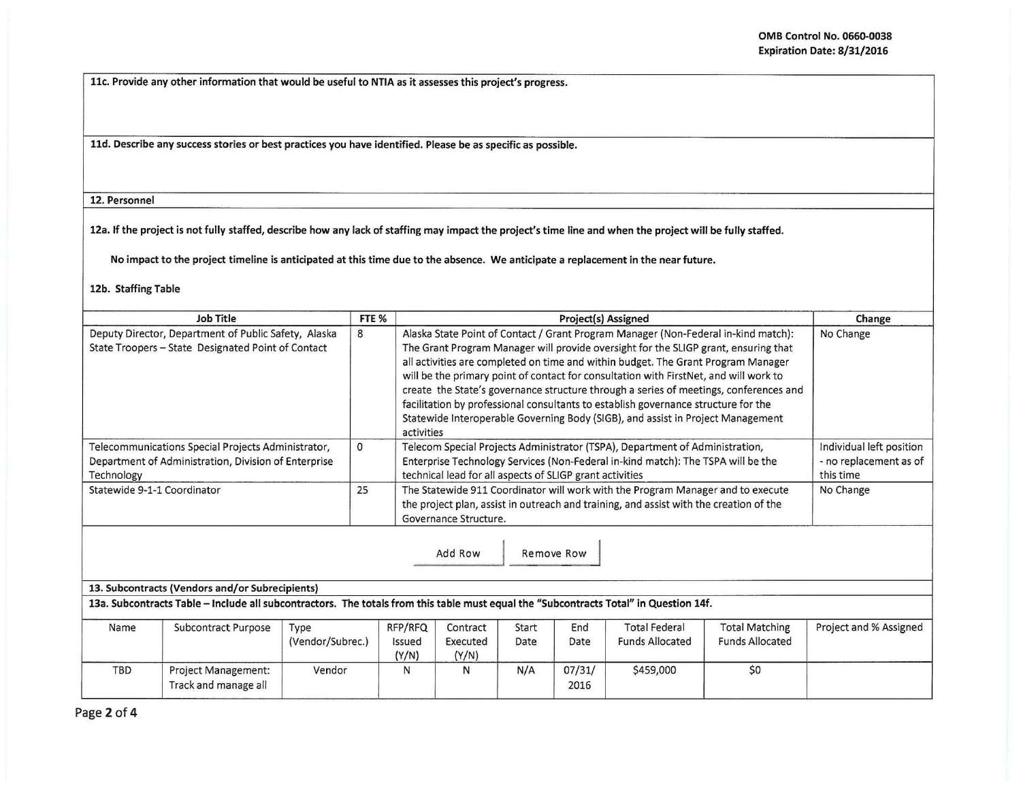llc. Provide any other information that would be useful to NTIA as it assesses this project's progress.

lld. Describe any success stories or best practices you have identified. Please be as specific as possible.

12. Personnel

12a. If the project is not fully staffed, describe how any lack of staffing may impact the project's time line and when the project will be fully staffed.

No impact to the project timeline is anticipated at this time due to the absence. We anticipate a replacement in the near future.

12b. Staffing Table

| <b>Job Title</b>                                                                                                         | FTE <sub>%</sub>                                                                                                                                                                                         | Project(s) Assigned                                                                                                                                                                                                                                                                                                                                                                                                                                                                                                                                                                                                                     | Change                                                          |  |
|--------------------------------------------------------------------------------------------------------------------------|----------------------------------------------------------------------------------------------------------------------------------------------------------------------------------------------------------|-----------------------------------------------------------------------------------------------------------------------------------------------------------------------------------------------------------------------------------------------------------------------------------------------------------------------------------------------------------------------------------------------------------------------------------------------------------------------------------------------------------------------------------------------------------------------------------------------------------------------------------------|-----------------------------------------------------------------|--|
| Deputy Director, Department of Public Safety, Alaska<br>State Troopers - State Designated Point of Contact               | 8                                                                                                                                                                                                        | Alaska State Point of Contact / Grant Program Manager (Non-Federal in-kind match):<br>The Grant Program Manager will provide oversight for the SLIGP grant, ensuring that<br>all activities are completed on time and within budget. The Grant Program Manager<br>will be the primary point of contact for consultation with FirstNet, and will work to<br>create the State's governance structure through a series of meetings, conferences and<br>facilitation by professional consultants to establish governance structure for the<br>Statewide Interoperable Governing Body (SIGB), and assist in Project Management<br>activities | No Change                                                       |  |
| Telecommunications Special Projects Administrator,<br>Department of Administration, Division of Enterprise<br>Technology | 0                                                                                                                                                                                                        | Telecom Special Projects Administrator (TSPA), Department of Administration,<br>Enterprise Technology Services (Non-Federal in-kind match): The TSPA will be the<br>technical lead for all aspects of SLIGP grant activities                                                                                                                                                                                                                                                                                                                                                                                                            | Individual left position<br>- no replacement as of<br>this time |  |
| Statewide 9-1-1 Coordinator                                                                                              | The Statewide 911 Coordinator will work with the Program Manager and to execute<br>25<br>the project plan, assist in outreach and training, and assist with the creation of the<br>Governance Structure. |                                                                                                                                                                                                                                                                                                                                                                                                                                                                                                                                                                                                                                         |                                                                 |  |
|                                                                                                                          |                                                                                                                                                                                                          | Add Row<br>Remove Row                                                                                                                                                                                                                                                                                                                                                                                                                                                                                                                                                                                                                   |                                                                 |  |
| 13. Subcontracts (Vendors and/or Subrecipients)                                                                          |                                                                                                                                                                                                          |                                                                                                                                                                                                                                                                                                                                                                                                                                                                                                                                                                                                                                         |                                                                 |  |
| <b>September 1</b><br>$\sim$ $\sim$ $\sim$ $\sim$<br>$\sim$ $\sim$                                                       |                                                                                                                                                                                                          | 13a. Subcontracts Table - Include all subcontractors. The totals from this table must equal the "Subcontracts Total" in Question 14f.<br>$     -$<br>$-1$ $-1$ $-1$<br>$-1$<br>$\sim$                                                                                                                                                                                                                                                                                                                                                                                                                                                   |                                                                 |  |

| Name       | Subcontract Purpose                                | Type             | RFP/RFQ         | Contract          | Start | End            | <b>Total Federal</b>   | <b>Total Matching</b>  | Project and % Assigned |
|------------|----------------------------------------------------|------------------|-----------------|-------------------|-------|----------------|------------------------|------------------------|------------------------|
|            |                                                    | (Vendor/Subrec.) | Issued<br>(Y/N) | Executed<br>(Y/N) | Date  | Date           | <b>Funds Allocated</b> | <b>Funds Allocated</b> |                        |
| <b>TBD</b> | <b>Project Management:</b><br>Track and manage all | Vendor           |                 |                   | N/A   | 07/31/<br>2016 | \$459,000              | \$0                    |                        |

Page 2 of 4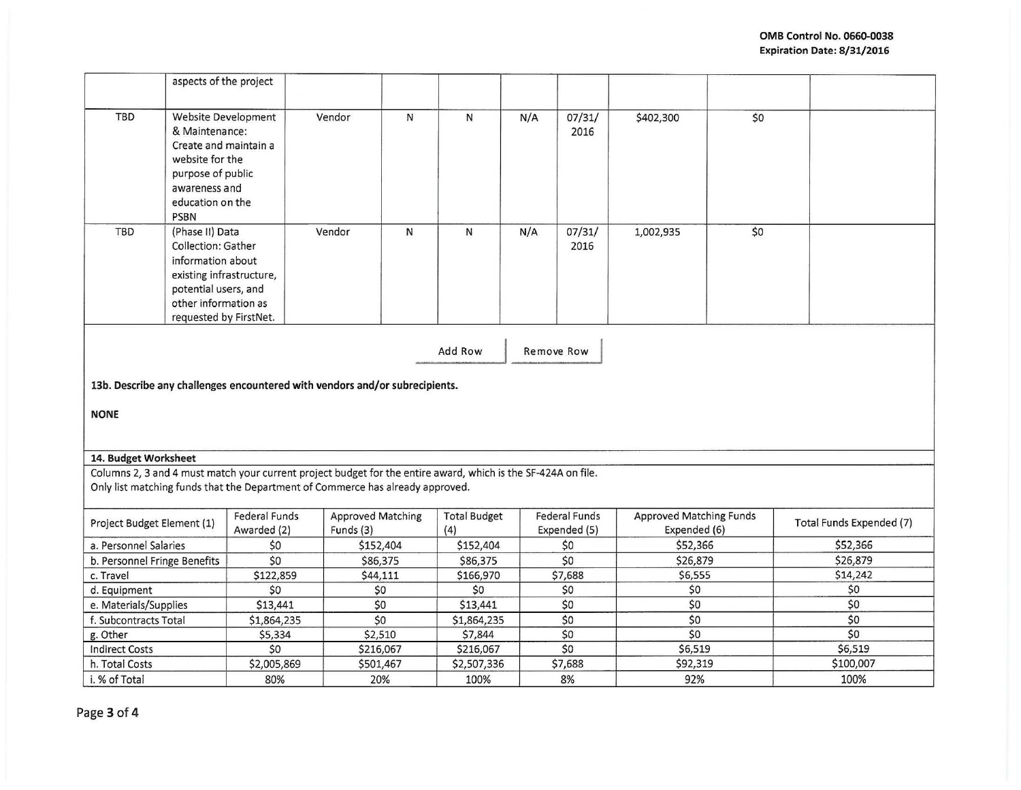|                              | aspects of the project                                                                                                                                           |                                                                                                                                                                                                 |                                       |              |                            |            |                                      |                                                |     |                          |
|------------------------------|------------------------------------------------------------------------------------------------------------------------------------------------------------------|-------------------------------------------------------------------------------------------------------------------------------------------------------------------------------------------------|---------------------------------------|--------------|----------------------------|------------|--------------------------------------|------------------------------------------------|-----|--------------------------|
| <b>TBD</b>                   | Website Development<br>& Maintenance:<br>Create and maintain a<br>website for the<br>purpose of public<br>awareness and<br>education on the<br><b>PSBN</b>       |                                                                                                                                                                                                 | Vendor                                | $\mathsf{N}$ | ${\sf N}$                  | N/A        | 07/31/<br>2016                       | \$402,300                                      | \$0 |                          |
| <b>TBD</b>                   | (Phase II) Data<br>Collection: Gather<br>information about<br>existing infrastructure,<br>potential users, and<br>other information as<br>requested by FirstNet. |                                                                                                                                                                                                 | Vendor                                | ${\sf N}$    | $\mathsf{N}\,$             | N/A        | 07/31/<br>2016                       | 1,002,935                                      | \$0 |                          |
|                              |                                                                                                                                                                  |                                                                                                                                                                                                 |                                       |              | Add Row                    | Remove Row |                                      |                                                |     |                          |
|                              |                                                                                                                                                                  | 13b. Describe any challenges encountered with vendors and/or subrecipients.                                                                                                                     |                                       |              |                            |            |                                      |                                                |     |                          |
| <b>NONE</b>                  |                                                                                                                                                                  |                                                                                                                                                                                                 |                                       |              |                            |            |                                      |                                                |     |                          |
| 14. Budget Worksheet         |                                                                                                                                                                  |                                                                                                                                                                                                 |                                       |              |                            |            |                                      |                                                |     |                          |
|                              |                                                                                                                                                                  | Columns 2, 3 and 4 must match your current project budget for the entire award, which is the SF-424A on file.<br>Only list matching funds that the Department of Commerce has already approved. |                                       |              |                            |            |                                      |                                                |     |                          |
| Project Budget Element (1)   |                                                                                                                                                                  | <b>Federal Funds</b><br>Awarded (2)                                                                                                                                                             | <b>Approved Matching</b><br>Funds (3) |              | <b>Total Budget</b><br>(4) |            | <b>Federal Funds</b><br>Expended (5) | <b>Approved Matching Funds</b><br>Expended (6) |     | Total Funds Expended (7) |
| a. Personnel Salaries        |                                                                                                                                                                  | \$0                                                                                                                                                                                             | \$152,404                             |              | \$152,404                  |            | \$0                                  | \$52,366                                       |     | \$52,366                 |
| b. Personnel Fringe Benefits |                                                                                                                                                                  | \$0                                                                                                                                                                                             | \$86,375                              |              | \$86,375                   |            | \$0                                  | \$26,879                                       |     | \$26,879                 |
| c. Travel                    |                                                                                                                                                                  | \$122,859                                                                                                                                                                                       | \$44,111                              |              | \$166,970                  |            | \$7,688                              | \$6,555                                        |     | \$14,242                 |
| d. Equipment                 |                                                                                                                                                                  | \$0                                                                                                                                                                                             | \$0                                   |              | \$0                        |            | \$0                                  | \$0                                            |     | \$0                      |
| e. Materials/Supplies        |                                                                                                                                                                  | \$13,441                                                                                                                                                                                        | \$0                                   |              | \$13,441                   |            | \$0                                  | \$0                                            |     | \$0                      |
| f. Subcontracts Total        |                                                                                                                                                                  | \$1,864,235                                                                                                                                                                                     | \$0                                   |              | \$1,864,235                |            | \$0                                  | \$0                                            |     | \$0                      |
| g. Other                     |                                                                                                                                                                  | \$5,334                                                                                                                                                                                         | \$2,510                               |              | \$7,844                    |            | \$0                                  | \$0                                            |     | \$0                      |
| <b>Indirect Costs</b>        |                                                                                                                                                                  | \$0                                                                                                                                                                                             | \$216,067                             |              | \$216,067                  |            | \$0                                  | \$6,519                                        |     | \$6,519                  |
| h. Total Costs               |                                                                                                                                                                  | \$2,005,869                                                                                                                                                                                     | \$501,467                             |              | \$2,507,336                |            | \$7,688                              | \$92,319                                       |     | \$100,007                |
| i. % of Total                |                                                                                                                                                                  | 80%                                                                                                                                                                                             | 20%                                   |              | 100%                       |            | 8%                                   | 92%                                            |     | 100%                     |